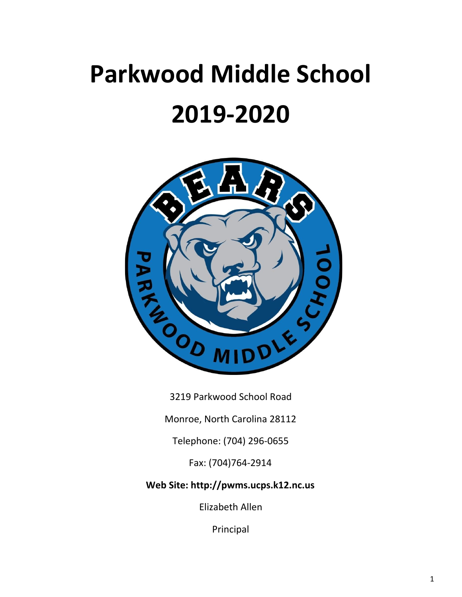# **Parkwood Middle School 2019-2020**



3219 Parkwood School Road

Monroe, North Carolina 28112

Telephone: (704) 296-0655

Fax: (704)764-2914

**Web Site: http://pwms.ucps.k12.nc.us**

Elizabeth Allen

Principal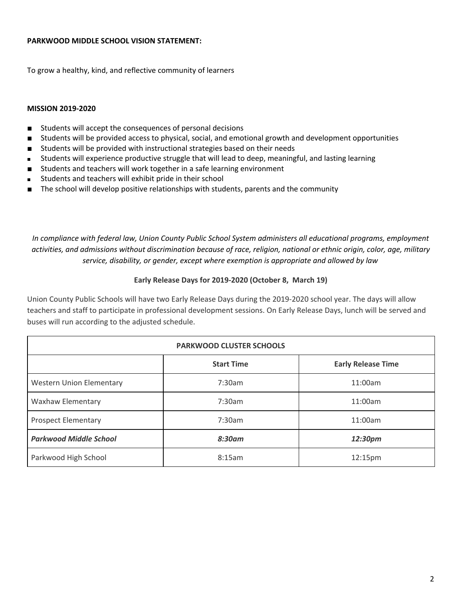#### **PARKWOOD MIDDLE SCHOOL VISION STATEMENT:**

To grow a healthy, kind, and reflective community of learners

#### **MISSION 2019-2020**

- Students will accept the consequences of personal decisions
- Students will be provided access to physical, social, and emotional growth and development opportunities
- Students will be provided with instructional strategies based on their needs
- Students will experience productive struggle that will lead to deep, meaningful, and lasting learning
- Students and teachers will work together in a safe learning environment
- Students and teachers will exhibit pride in their school
- The school will develop positive relationships with students, parents and the community

*In compliance with federal law, Union County Public School System administers all educational programs, employment* activities, and admissions without discrimination because of race, religion, national or ethnic origin, color, age, military *service, disability, or gender, except where exemption is appropriate and allowed by law*

#### **Early Release Days for 2019-2020 (October 8, March 19)**

Union County Public Schools will have two Early Release Days during the 2019-2020 school year. The days will allow teachers and staff to participate in professional development sessions. On Early Release Days, lunch will be served and buses will run according to the adjusted schedule.

| <b>PARKWOOD CLUSTER SCHOOLS</b> |                   |                           |  |  |  |  |  |  |
|---------------------------------|-------------------|---------------------------|--|--|--|--|--|--|
|                                 | <b>Start Time</b> | <b>Early Release Time</b> |  |  |  |  |  |  |
| <b>Western Union Elementary</b> | 7:30am            | 11:00am                   |  |  |  |  |  |  |
| Waxhaw Elementary               | 7:30am            | 11:00am                   |  |  |  |  |  |  |
| <b>Prospect Elementary</b>      | 7:30am            | 11:00am                   |  |  |  |  |  |  |
| <b>Parkwood Middle School</b>   | $8:30$ am         | 12:30pm                   |  |  |  |  |  |  |
| Parkwood High School            | 8:15am            | 12:15 <sub>pm</sub>       |  |  |  |  |  |  |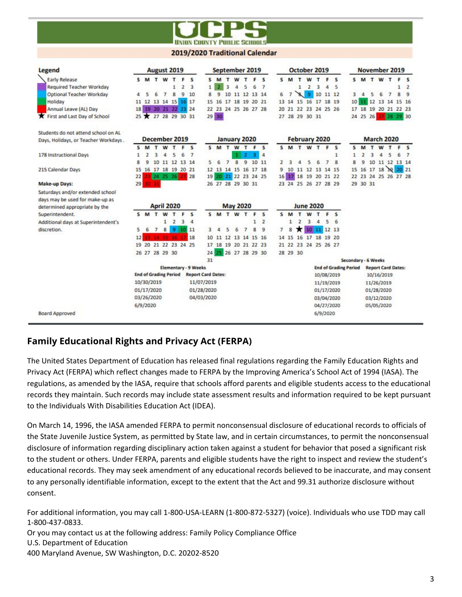

#### 2019/2020 Traditional Calendar

| <b>Legend</b>                        |    |                            | August 2019       |                |                              |                |                         |                           |         |                | September 2019       |                |             |                |              |                |                          |                | October 2019         |                |                              |                     |          |   |                          |                | November 2019             |                |
|--------------------------------------|----|----------------------------|-------------------|----------------|------------------------------|----------------|-------------------------|---------------------------|---------|----------------|----------------------|----------------|-------------|----------------|--------------|----------------|--------------------------|----------------|----------------------|----------------|------------------------------|---------------------|----------|---|--------------------------|----------------|---------------------------|----------------|
| <b>Early Release</b>                 | s. | M <sub>T</sub>             |                   | W              | T                            | F              | S                       |                           | $S$ M   | T              |                      |                | <b>WTFS</b> |                |              | 5M             | $\mathbf{r}$             | W T            |                      | F              | s                            |                     |          |   | SMTWT                    |                | F                         | - 5            |
| Required Teacher Workday             |    |                            |                   |                | 1                            | $\overline{2}$ | $\overline{\mathbf{3}}$ | $\mathbf{1}$              |         | $\overline{3}$ | 4                    | 5              | 6           | $\overline{7}$ |              |                | $\mathbf{1}$             | $\overline{2}$ | $\overline{3}$       | 4              | 5                            |                     |          |   |                          |                | $\mathbf{1}$              | $\overline{2}$ |
| Optional Teacher Workday             | 4  | 5                          | 6                 | $\overline{7}$ | 8                            | 9              | 10                      | 8                         | g       |                | 10 11 12 13 14       |                |             |                | 6            | $\overline{7}$ | $\mathbf{S}$             | 9              |                      |                | 10 11 12                     | $\overline{3}$      | 4        | 5 | 6                        | $\overline{7}$ | 8                         | $\cdot$ 9      |
| Holiday                              |    | 11 12 13 14 15 16 17       |                   |                |                              |                |                         | 15                        | 16      |                | 17 18 19 20 21       |                |             |                |              |                |                          |                | 13 14 15 16 17 18 19 |                |                              | 10 <sup>1</sup>     |          |   |                          |                | 11 12 13 14 15 16         |                |
| Annual Leave (AL) Day                |    | 18  19  20  21  22  23  24 |                   |                |                              |                |                         |                           |         |                | 22 23 24 25 26 27 28 |                |             |                |              |                |                          |                | 20 21 22 23 24 25 26 |                |                              |                     |          |   |                          |                | 17 18 19 20 21 22 23      |                |
| First and Last Day of School         |    | 25 27 28 29 30 31          |                   |                |                              |                |                         |                           | $29$ 30 |                |                      |                |             |                |              |                |                          | 27 28 29 30 31 |                      |                |                              |                     | 24 25 26 |   | 27                       |                | 28 29 30                  |                |
| Students do not attend school on AL  |    |                            |                   |                |                              |                |                         |                           |         |                |                      |                |             |                |              |                |                          |                |                      |                |                              |                     |          |   |                          |                |                           |                |
| Days, Holidays, or Teacher Workdays. |    | December 2019              |                   |                |                              |                |                         |                           |         |                | January 2020         |                |             |                |              |                |                          |                | <b>February 2020</b> |                |                              |                     |          |   | <b>March 2020</b>        |                |                           |                |
|                                      | s  | M                          | T                 | W              | т                            | Е              | $\mathsf{s}$            |                           | S M T   |                | W                    | T              | F           | $\mathsf{s}$   |              | 5M             |                          | W T            |                      | F              | $\mathsf{s}$                 | 5                   | M        | T |                          | W T            | F                         | - 5            |
| 178 Instructional Days               |    |                            | з                 | 4              | ς                            | 6              | $\overline{7}$          |                           |         |                |                      | ,              |             | 4              |              |                |                          |                |                      |                | 1                            | 1                   | 2        | 3 |                          | 5              | 6                         | $\mathcal{I}$  |
|                                      | 8  | ٥                          | 10                |                | 11 12 13 14                  |                |                         | $5 -$                     | 6       | $\overline{7}$ | B                    | $\overline{9}$ |             | 10 11          | Σ            |                |                          | 5              | 6                    | $\overline{ }$ | R                            | 8                   | q        |   |                          |                | 10 11 12 13 14            |                |
| 215 Calendar Days                    |    | 15 16 17 18 19 20 21       |                   |                |                              |                |                         |                           |         |                | 12 13 14 15 16 17 18 |                |             |                | ۹            |                |                          |                | 10 11 12 13 14 15    |                |                              | 15                  |          |   | 16 17 18 19              |                | 20 21                     |                |
|                                      | 22 |                            |                   | 24 25 26       |                              |                | 28                      |                           |         |                | 19 20 21 22 23 24 25 |                |             |                | 16           |                |                          |                | 17 18 19 20 21 22    |                |                              |                     |          |   |                          |                | 22 23 24 25 26 27 28      |                |
| Make-up Days:                        | 29 |                            |                   |                |                              |                |                         |                           |         |                | 26 27 28 29 30 31    |                |             |                |              |                |                          |                | 23 24 25 26 27 28 29 |                |                              |                     | 29 30 31 |   |                          |                |                           |                |
| Saturdays and/or extended school     |    |                            |                   |                |                              |                |                         |                           |         |                |                      |                |             |                |              |                |                          |                |                      |                |                              |                     |          |   |                          |                |                           |                |
| days may be used for make-up as      |    |                            |                   |                |                              |                |                         |                           |         |                |                      |                |             |                |              |                |                          |                |                      |                |                              |                     |          |   |                          |                |                           |                |
| determined appropriate by the        |    |                            | <b>April 2020</b> |                |                              |                |                         |                           |         |                | <b>May 2020</b>      |                |             |                |              |                |                          |                | <b>June 2020</b>     |                |                              |                     |          |   |                          |                |                           |                |
| Superintendent.                      |    | S M T                      |                   | W              | т                            |                | s                       |                           | S M T   |                | W                    | $\mathbf{r}$   | Е           | s              | $\mathbf{s}$ | M              |                          | W              | $\mathbf{r}$         | Б              | $\mathbf{s}$                 |                     |          |   |                          |                |                           |                |
| Additional days at Superintendent's  |    |                            |                   | 1              | $\overline{2}$               | 3              | $\overline{4}$          |                           |         |                |                      |                | 1           | $\overline{2}$ |              | 1              | $\overline{\phantom{a}}$ | 3              | 4                    | 5              | 6                            |                     |          |   |                          |                |                           |                |
| discretion.                          | 5  | 6                          | $\overline{7}$    | 8              |                              | $9 - 10 - 11$  |                         | 3                         |         | 5              | 6                    | $\overline{7}$ | 8           | 9              | 7            | 8              |                          | 10             |                      | 11 12 13       |                              |                     |          |   |                          |                |                           |                |
|                                      | 12 |                            | 13 14 15 16 17    |                |                              |                | 18                      |                           |         |                | 10 11 12 13 14 15 16 |                |             |                | 14           | 15             |                          |                | 16 17 18 19 20       |                |                              |                     |          |   |                          |                |                           |                |
|                                      |    | 19 20 21 22 23 24 25       |                   |                |                              |                |                         |                           |         |                | 17 18 19 20 21 22 23 |                |             |                |              |                |                          |                | 21 22 23 24 25 26 27 |                |                              |                     |          |   |                          |                |                           |                |
|                                      |    | 26 27 28 29 30             |                   |                |                              |                |                         | 24                        |         |                | 25 26 27 28 29 30    |                |             |                |              | 28 29 30       |                          |                |                      |                |                              |                     |          |   |                          |                |                           |                |
|                                      |    |                            |                   |                |                              |                |                         | 31                        |         |                |                      |                |             |                |              |                |                          |                |                      |                |                              | Secondary - 6 Weeks |          |   |                          |                |                           |                |
|                                      |    |                            |                   |                |                              |                | Elementary - 9 Weeks    |                           |         |                |                      |                |             |                |              |                |                          |                |                      |                | <b>End of Grading Period</b> |                     |          |   |                          |                | <b>Report Card Dates:</b> |                |
|                                      |    |                            |                   |                | <b>End of Grading Period</b> |                |                         | <b>Report Card Dates:</b> |         |                |                      |                |             |                |              |                |                          |                | 10/08/2019           |                |                              |                     |          |   | 10/16/2019               |                |                           |                |
|                                      |    |                            |                   |                |                              |                |                         |                           |         |                |                      |                |             |                |              |                |                          |                | 11/19/2019           |                |                              |                     |          |   | 11/26/2019               |                |                           |                |
|                                      |    | 10/30/2019                 |                   |                |                              |                | 11/07/2019              |                           |         |                |                      |                |             |                |              |                |                          |                |                      |                |                              |                     |          |   |                          |                |                           |                |
|                                      |    |                            |                   |                |                              |                |                         |                           |         |                |                      |                |             |                |              |                |                          |                |                      |                |                              |                     |          |   |                          |                |                           |                |
|                                      |    | 01/17/2020<br>03/26/2020   |                   |                |                              |                |                         | 01/28/2020<br>04/03/2020  |         |                |                      |                |             |                |              |                |                          |                | 01/17/2020           |                |                              |                     |          |   | 01/28/2020               |                |                           |                |
|                                      |    | 6/9/2020                   |                   |                |                              |                |                         |                           |         |                |                      |                |             |                |              |                |                          |                | 03/04/2020           |                | 04/27/2020                   |                     |          |   | 03/12/2020<br>05/05/2020 |                |                           |                |

# **Family Educational Rights and Privacy Act (FERPA)**

The United States Department of Education has released final regulations regarding the Family Education Rights and Privacy Act (FERPA) which reflect changes made to FERPA by the Improving America's School Act of 1994 (IASA). The regulations, as amended by the IASA, require that schools afford parents and eligible students access to the educational records they maintain. Such records may include state assessment results and information required to be kept pursuant to the Individuals With Disabilities Education Act (IDEA).

On March 14, 1996, the IASA amended FERPA to permit nonconsensual disclosure of educational records to officials of the State Juvenile Justice System, as permitted by State law, and in certain circumstances, to permit the nonconsensual disclosure of information regarding disciplinary action taken against a student for behavior that posed a significant risk to the student or others. Under FERPA, parents and eligible students have the right to inspect and review the student's educational records. They may seek amendment of any educational records believed to be inaccurate, and may consent to any personally identifiable information, except to the extent that the Act and 99.31 authorize disclosure without consent.

For additional information, you may call 1-800-USA-LEARN (1-800-872-5327) (voice). Individuals who use TDD may call 1-800-437-0833. Or you may contact us at the following address: Family Policy Compliance Office U.S. Department of Education 400 Maryland Avenue, SW Washington, D.C. 20202-8520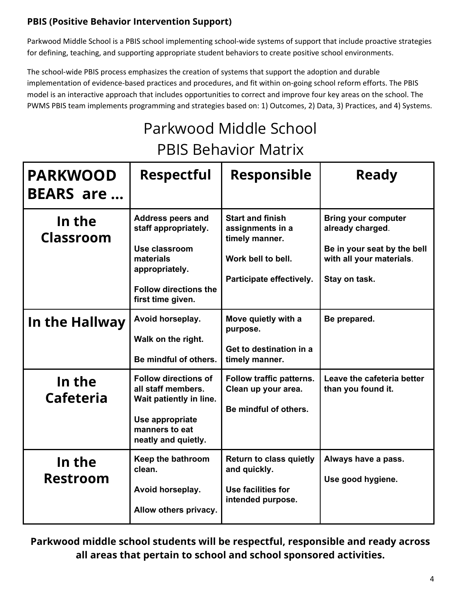# **PBIS (Positive Behavior Intervention Support)**

Parkwood Middle School is a PBIS school implementing school-wide systems of support that include proactive strategies for defining, teaching, and supporting appropriate student behaviors to create positive school environments.

The school-wide PBIS process emphasizes the creation of systems that support the adoption and durable implementation of evidence-based practices and procedures, and fit within on-going school reform efforts. The PBIS model is an interactive approach that includes opportunities to correct and improve four key areas on the school. The PWMS PBIS team implements programming and strategies based on: 1) Outcomes, 2) Data, 3) Practices, and 4) Systems.

# Parkwood Middle School PBIS Behavior Matrix

| <b>PARKWOOD</b><br><b>BEARS</b> are | <b>Respectful</b>                                                                                                                                     | <b>Responsible</b>                                                                                              | <b>Ready</b>                                                                                                               |
|-------------------------------------|-------------------------------------------------------------------------------------------------------------------------------------------------------|-----------------------------------------------------------------------------------------------------------------|----------------------------------------------------------------------------------------------------------------------------|
| In the<br><b>Classroom</b>          | <b>Address peers and</b><br>staff appropriately.<br>Use classroom<br>materials<br>appropriately.<br><b>Follow directions the</b><br>first time given. | <b>Start and finish</b><br>assignments in a<br>timely manner.<br>Work bell to bell.<br>Participate effectively. | <b>Bring your computer</b><br>already charged.<br>Be in your seat by the bell<br>with all your materials.<br>Stay on task. |
| In the Hallway                      | Avoid horseplay.<br>Walk on the right.<br>Be mindful of others.                                                                                       | Move quietly with a<br>purpose.<br>Get to destination in a<br>timely manner.                                    | Be prepared.                                                                                                               |
| In the<br><b>Cafeteria</b>          | <b>Follow directions of</b><br>all staff members.<br>Wait patiently in line.<br>Use appropriate<br>manners to eat<br>neatly and quietly.              | Follow traffic patterns.<br>Clean up your area.<br>Be mindful of others.                                        | Leave the cafeteria better<br>than you found it.                                                                           |
| In the<br><b>Restroom</b>           | Keep the bathroom<br>clean.<br>Avoid horseplay.<br>Allow others privacy.                                                                              | <b>Return to class quietly</b><br>and quickly.<br>Use facilities for<br>intended purpose.                       | Always have a pass.<br>Use good hygiene.                                                                                   |

**Parkwood middle school students will be respectful, responsible and ready across all areas that pertain to school and school sponsored activities.**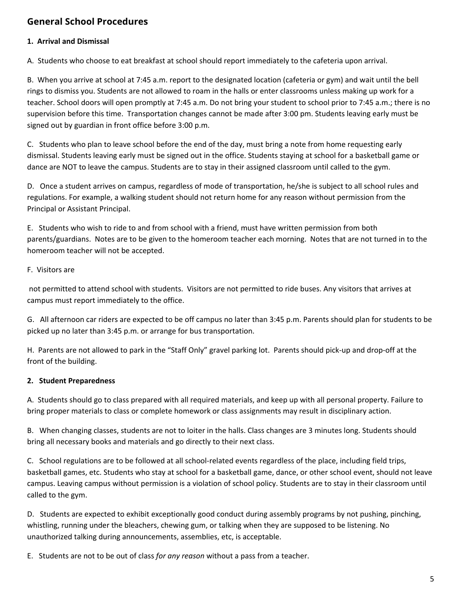# **General School Procedures**

# **1. Arrival and Dismissal**

A. Students who choose to eat breakfast at school should report immediately to the cafeteria upon arrival.

B. When you arrive at school at 7:45 a.m. report to the designated location (cafeteria or gym) and wait until the bell rings to dismiss you. Students are not allowed to roam in the halls or enter classrooms unless making up work for a teacher. School doors will open promptly at 7:45 a.m. Do not bring your student to school prior to 7:45 a.m.; there is no supervision before this time. Transportation changes cannot be made after 3:00 pm. Students leaving early must be signed out by guardian in front office before 3:00 p.m.

C. Students who plan to leave school before the end of the day, must bring a note from home requesting early dismissal. Students leaving early must be signed out in the office. Students staying at school for a basketball game or dance are NOT to leave the campus. Students are to stay in their assigned classroom until called to the gym.

D. Once a student arrives on campus, regardless of mode of transportation, he/she is subject to all school rules and regulations. For example, a walking student should not return home for any reason without permission from the Principal or Assistant Principal.

E. Students who wish to ride to and from school with a friend, must have written permission from both parents/guardians. Notes are to be given to the homeroom teacher each morning. Notes that are not turned in to the homeroom teacher will not be accepted.

#### F. Visitors are

not permitted to attend school with students. Visitors are not permitted to ride buses. Any visitors that arrives at campus must report immediately to the office.

G. All afternoon car riders are expected to be off campus no later than 3:45 p.m. Parents should plan for students to be picked up no later than 3:45 p.m. or arrange for bus transportation.

H. Parents are not allowed to park in the "Staff Only" gravel parking lot. Parents should pick-up and drop-off at the front of the building.

# **2. Student Preparedness**

A. Students should go to class prepared with all required materials, and keep up with all personal property. Failure to bring proper materials to class or complete homework or class assignments may result in disciplinary action.

B. When changing classes, students are not to loiter in the halls. Class changes are 3 minutes long. Students should bring all necessary books and materials and go directly to their next class.

C. School regulations are to be followed at all school-related events regardless of the place, including field trips, basketball games, etc. Students who stay at school for a basketball game, dance, or other school event, should not leave campus. Leaving campus without permission is a violation of school policy. Students are to stay in their classroom until called to the gym.

D. Students are expected to exhibit exceptionally good conduct during assembly programs by not pushing, pinching, whistling, running under the bleachers, chewing gum, or talking when they are supposed to be listening. No unauthorized talking during announcements, assemblies, etc, is acceptable.

E. Students are not to be out of class *for any reason* without a pass from a teacher.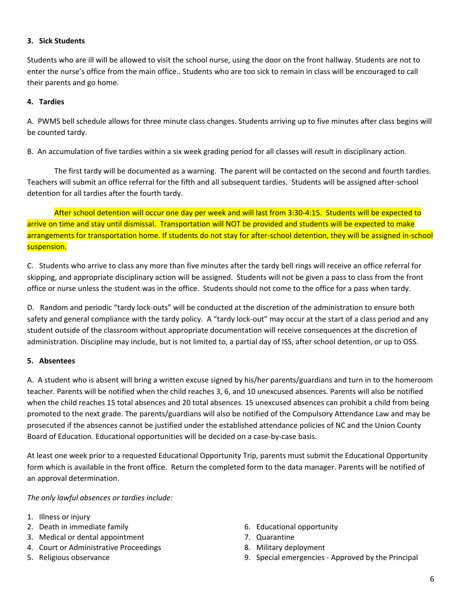#### **3. Sick Students**

Students who are ill will be allowed to visit the school nurse, using the door on the front hallway. Students are not to enter the nurse's office from the main office.. Students who are too sick to remain in class will be encouraged to call their parents and go home.

#### **4. Tardies**

A. PWMS bell schedule allows for three minute class changes. Students arriving up to five minutes after class begins will be counted tardy.

B. An accumulation of five tardies within a six week grading period for all classes will result in disciplinary action.

The first tardy will be documented as a warning. The parent will be contacted on the second and fourth tardies. Teachers will submit an office referral for the fifth and all subsequent tardies. Students will be assigned after-school detention for all tardies after the fourth tardy.

After school detention will occur one day per week and will last from 3:30-4:15. Students will be expected to arrive on time and stay until dismissal. Transportation will NOT be provided and students will be expected to make arrangements for transportation home. If students do not stay for after-school detention, they will be assigned in-school suspension.

C. Students who arrive to class any more than five minutes after the tardy bell rings will receive an office referral for skipping, and appropriate disciplinary action will be assigned. Students will not be given a pass to class from the front office or nurse unless the student was in the office. Students should not come to the office for a pass when tardy.

D. Random and periodic "tardy lock-outs" will be conducted at the discretion of the administration to ensure both safety and general compliance with the tardy policy. A "tardy lock-out" may occur at the start of a class period and any student outside of the classroom without appropriate documentation will receive consequences at the discretion of administration. Discipline may include, but is not limited to, a partial day of ISS, after school detention, or up to OSS.

#### **5. Absentees**

A. A student who is absent will bring a written excuse signed by his/her parents/guardians and turn in to the homeroom teacher. Parents will be notified when the child reaches 3, 6, and 10 unexcused absences. Parents will also be notified when the child reaches 15 total absences and 20 total absences. 15 unexcused absences can prohibit a child from being promoted to the next grade. The parents/guardians will also be notified of the Compulsory Attendance Law and may be prosecuted if the absences cannot be justified under the established attendance policies of NC and the Union County Board of Education. Educational opportunities will be decided on a case-by-case basis.

At least one week prior to a requested Educational Opportunity Trip, parents must submit the Educational Opportunity form which is available in the front office. Return the completed form to the data manager. Parents will be notified of an approval determination.

*The only lawful absences or tardies include:*

- 1. Illness or injury
- 2. Death in immediate family
- 3. Medical or dental appointment
- 4. Court or Administrative Proceedings
- 5. Religious observance
- 6. Educational opportunity
- 7. Quarantine
- 8. Military deployment
- 9. Special emergencies Approved by the Principal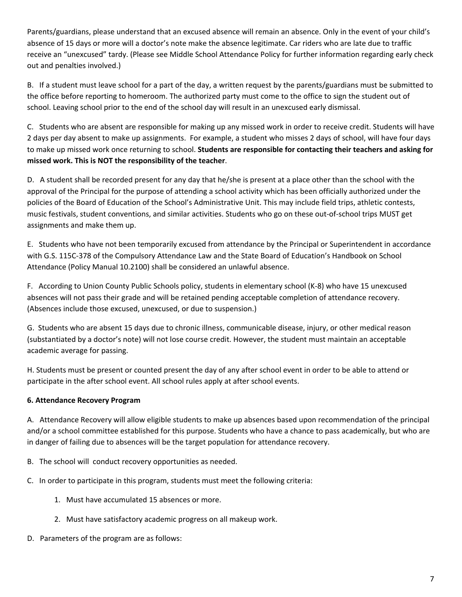Parents/guardians, please understand that an excused absence will remain an absence. Only in the event of your child's absence of 15 days or more will a doctor's note make the absence legitimate. Car riders who are late due to traffic receive an "unexcused" tardy. (Please see Middle School Attendance Policy for further information regarding early check out and penalties involved.)

B. If a student must leave school for a part of the day, a written request by the parents/guardians must be submitted to the office before reporting to homeroom. The authorized party must come to the office to sign the student out of school. Leaving school prior to the end of the school day will result in an unexcused early dismissal.

C. Students who are absent are responsible for making up any missed work in order to receive credit. Students will have 2 days per day absent to make up assignments. For example, a student who misses 2 days of school, will have four days to make up missed work once returning to school. **Students are responsible for contacting their teachers and asking for missed work. This is NOT the responsibility of the teacher**.

D. A student shall be recorded present for any day that he/she is present at a place other than the school with the approval of the Principal for the purpose of attending a school activity which has been officially authorized under the policies of the Board of Education of the School's Administrative Unit. This may include field trips, athletic contests, music festivals, student conventions, and similar activities. Students who go on these out-of-school trips MUST get assignments and make them up.

E. Students who have not been temporarily excused from attendance by the Principal or Superintendent in accordance with G.S. 115C-378 of the Compulsory Attendance Law and the State Board of Education's Handbook on School Attendance (Policy Manual 10.2100) shall be considered an unlawful absence.

F. According to Union County Public Schools policy, students in elementary school (K-8) who have 15 unexcused absences will not pass their grade and will be retained pending acceptable completion of attendance recovery. (Absences include those excused, unexcused, or due to suspension.)

G. Students who are absent 15 days due to chronic illness, communicable disease, injury, or other medical reason (substantiated by a doctor's note) will not lose course credit. However, the student must maintain an acceptable academic average for passing.

H. Students must be present or counted present the day of any after school event in order to be able to attend or participate in the after school event. All school rules apply at after school events.

# **6. Attendance Recovery Program**

A. Attendance Recovery will allow eligible students to make up absences based upon recommendation of the principal and/or a school committee established for this purpose. Students who have a chance to pass academically, but who are in danger of failing due to absences will be the target population for attendance recovery.

B. The school will conduct recovery opportunities as needed.

C. In order to participate in this program, students must meet the following criteria:

- 1. Must have accumulated 15 absences or more.
- 2. Must have satisfactory academic progress on all makeup work.
- D. Parameters of the program are as follows: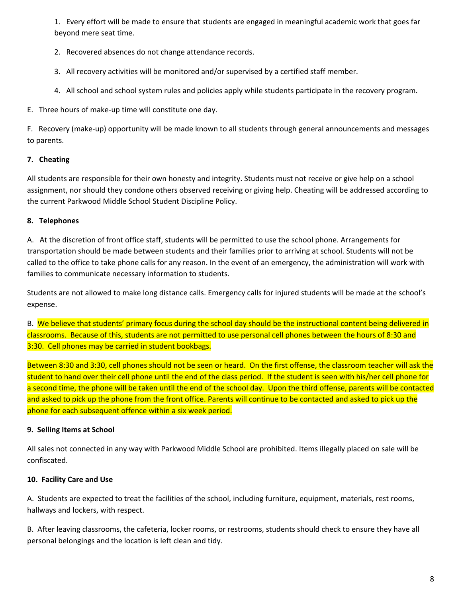1. Every effort will be made to ensure that students are engaged in meaningful academic work that goes far beyond mere seat time.

- 2. Recovered absences do not change attendance records.
- 3. All recovery activities will be monitored and/or supervised by a certified staff member.
- 4. All school and school system rules and policies apply while students participate in the recovery program.

E. Three hours of make-up time will constitute one day.

F. Recovery (make-up) opportunity will be made known to all students through general announcements and messages to parents.

# **7. Cheating**

All students are responsible for their own honesty and integrity. Students must not receive or give help on a school assignment, nor should they condone others observed receiving or giving help. Cheating will be addressed according to the current Parkwood Middle School Student Discipline Policy.

#### **8. Telephones**

A. At the discretion of front office staff, students will be permitted to use the school phone. Arrangements for transportation should be made between students and their families prior to arriving at school. Students will not be called to the office to take phone calls for any reason. In the event of an emergency, the administration will work with families to communicate necessary information to students.

Students are not allowed to make long distance calls. Emergency calls for injured students will be made at the school's expense.

B. We believe that students' primary focus during the school day should be the instructional content being delivered in classrooms. Because of this, students are not permitted to use personal cell phones between the hours of 8:30 and 3:30. Cell phones may be carried in student bookbags.

Between 8:30 and 3:30, cell phones should not be seen or heard. On the first offense, the classroom teacher will ask the student to hand over their cell phone until the end of the class period. If the student is seen with his/her cell phone for a second time, the phone will be taken until the end of the school day. Upon the third offense, parents will be contacted and asked to pick up the phone from the front office. Parents will continue to be contacted and asked to pick up the phone for each subsequent offence within a six week period.

#### **9. Selling Items at School**

All sales not connected in any way with Parkwood Middle School are prohibited. Items illegally placed on sale will be confiscated.

# **10. Facility Care and Use**

A. Students are expected to treat the facilities of the school, including furniture, equipment, materials, rest rooms, hallways and lockers, with respect.

B. After leaving classrooms, the cafeteria, locker rooms, or restrooms, students should check to ensure they have all personal belongings and the location is left clean and tidy.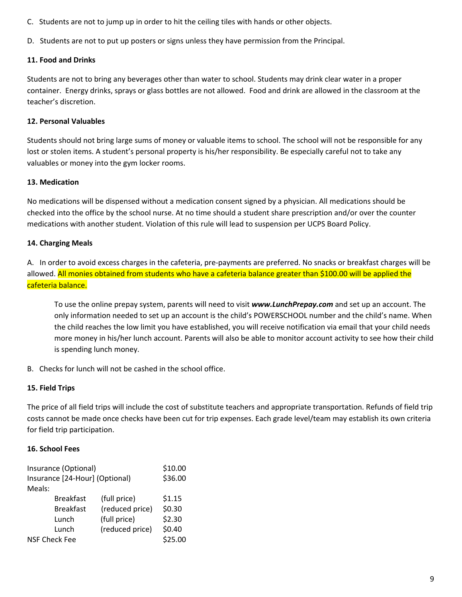- C. Students are not to jump up in order to hit the ceiling tiles with hands or other objects.
- D. Students are not to put up posters or signs unless they have permission from the Principal.

#### **11. Food and Drinks**

Students are not to bring any beverages other than water to school. Students may drink clear water in a proper container. Energy drinks, sprays or glass bottles are not allowed. Food and drink are allowed in the classroom at the teacher's discretion.

#### **12. Personal Valuables**

Students should not bring large sums of money or valuable items to school. The school will not be responsible for any lost or stolen items. A student's personal property is his/her responsibility. Be especially careful not to take any valuables or money into the gym locker rooms.

#### **13. Medication**

No medications will be dispensed without a medication consent signed by a physician. All medications should be checked into the office by the school nurse. At no time should a student share prescription and/or over the counter medications with another student. Violation of this rule will lead to suspension per UCPS Board Policy.

#### **14. Charging Meals**

A. In order to avoid excess charges in the cafeteria, pre-payments are preferred. No snacks or breakfast charges will be allowed. All monies obtained from students who have a cafeteria balance greater than \$100.00 will be applied the cafeteria balance.

To use the online prepay system, parents will need to visit *www.LunchPrepay.com* and set up an account. The only information needed to set up an account is the child's POWERSCHOOL number and the child's name. When the child reaches the low limit you have established, you will receive notification via email that your child needs more money in his/her lunch account. Parents will also be able to monitor account activity to see how their child is spending lunch money.

B. Checks for lunch will not be cashed in the school office.

#### **15. Field Trips**

The price of all field trips will include the cost of substitute teachers and appropriate transportation. Refunds of field trip costs cannot be made once checks have been cut for trip expenses. Each grade level/team may establish its own criteria for field trip participation.

#### **16. School Fees**

| Insurance (Optional)           | \$10.00          |                 |        |
|--------------------------------|------------------|-----------------|--------|
| Insurance [24-Hour] (Optional) | \$36.00          |                 |        |
| Meals:                         |                  |                 |        |
|                                | <b>Breakfast</b> | (full price)    | \$1.15 |
|                                | <b>Breakfast</b> | (reduced price) | \$0.30 |
|                                | Lunch            | (full price)    | \$2.30 |
|                                | Lunch            | (reduced price) | \$0.40 |
| <b>NSF Check Fee</b>           | \$25.00          |                 |        |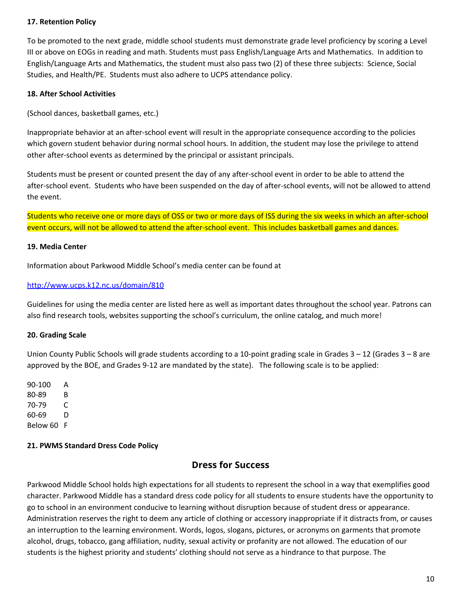#### **17. Retention Policy**

To be promoted to the next grade, middle school students must demonstrate grade level proficiency by scoring a Level III or above on EOGs in reading and math. Students must pass English/Language Arts and Mathematics. In addition to English/Language Arts and Mathematics, the student must also pass two (2) of these three subjects: Science, Social Studies, and Health/PE. Students must also adhere to UCPS attendance policy.

#### **18. After School Activities**

(School dances, basketball games, etc.)

Inappropriate behavior at an after-school event will result in the appropriate consequence according to the policies which govern student behavior during normal school hours. In addition, the student may lose the privilege to attend other after-school events as determined by the principal or assistant principals.

Students must be present or counted present the day of any after-school event in order to be able to attend the after-school event. Students who have been suspended on the day of after-school events, will not be allowed to attend the event.

Students who receive one or more days of OSS or two or more days of ISS during the six weeks in which an after-school event occurs, will not be allowed to attend the after-school event. This includes basketball games and dances.

#### **19. Media Center**

Information about Parkwood Middle School's media center can be found at

#### <http://www.ucps.k12.nc.us/domain/810>

Guidelines for using the media center are listed here as well as important dates throughout the school year. Patrons can also find research tools, websites supporting the school's curriculum, the online catalog, and much more!

#### **20. Grading Scale**

Union County Public Schools will grade students according to a 10-point grading scale in Grades  $3 - 12$  (Grades  $3 - 8$  are approved by the BOE, and Grades 9-12 are mandated by the state). The following scale is to be applied:

90-100 A 80-89 B 70-79 C 60-69 D Below 60 F

#### **21. PWMS Standard Dress Code Policy**

# **Dress for Success**

Parkwood Middle School holds high expectations for all students to represent the school in a way that exemplifies good character. Parkwood Middle has a standard dress code policy for all students to ensure students have the opportunity to go to school in an environment conducive to learning without disruption because of student dress or appearance. Administration reserves the right to deem any article of clothing or accessory inappropriate if it distracts from, or causes an interruption to the learning environment. Words, logos, slogans, pictures, or acronyms on garments that promote alcohol, drugs, tobacco, gang affiliation, nudity, sexual activity or profanity are not allowed. The education of our students is the highest priority and students' clothing should not serve as a hindrance to that purpose. The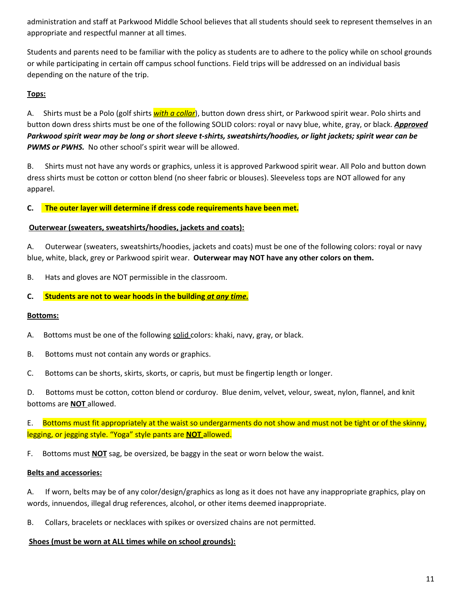administration and staff at Parkwood Middle School believes that all students should seek to represent themselves in an appropriate and respectful manner at all times.

Students and parents need to be familiar with the policy as students are to adhere to the policy while on school grounds or while participating in certain off campus school functions. Field trips will be addressed on an individual basis depending on the nature of the trip.

#### **Tops:**

A. Shirts must be a Polo (golf shirts *with a collar*), button down dress shirt, or Parkwood spirit wear. Polo shirts and button down dress shirts must be one of the following SOLID colors: royal or navy blue, white, gray, or black. *Approved* Parkwood spirit wear may be long or short sleeve t-shirts, sweatshirts/hoodies, or light jackets; spirit wear can be *PWMS or PWHS.* No other school's spirit wear will be allowed.

B. Shirts must not have any words or graphics, unless it is approved Parkwood spirit wear. All Polo and button down dress shirts must be cotton or cotton blend (no sheer fabric or blouses). Sleeveless tops are NOT allowed for any apparel.

**C. The outer layer will determine if dress code requirements have been met.**

#### **Outerwear (sweaters, sweatshirts/hoodies, jackets and coats):**

A. Outerwear (sweaters, sweatshirts/hoodies, jackets and coats) must be one of the following colors: royal or navy blue, white, black, grey or Parkwood spirit wear. **Outerwear may NOT have any other colors on them.**

B. Hats and gloves are NOT permissible in the classroom.

#### **C. Students are not to wear hoods in the building** *at any time.*

#### **Bottoms:**

A. Bottoms must be one of the following solid colors: khaki, navy, gray, or black.

- B. Bottoms must not contain any words or graphics.
- C. Bottoms can be shorts, skirts, skorts, or capris, but must be fingertip length or longer.

D. Bottoms must be cotton, cotton blend or corduroy. Blue denim, velvet, velour, sweat, nylon, flannel, and knit bottoms are **NOT** allowed.

E. Bottoms must fit appropriately at the waist so undergarments do not show and must not be tight or of the skinny, legging, or jegging style. "Yoga" style pants are **NOT** allowed.

F. Bottoms must **NOT** sag, be oversized, be baggy in the seat or worn below the waist.

#### **Belts and accessories:**

A. If worn, belts may be of any color/design/graphics as long as it does not have any inappropriate graphics, play on words, innuendos, illegal drug references, alcohol, or other items deemed inappropriate.

B. Collars, bracelets or necklaces with spikes or oversized chains are not permitted.

#### **Shoes (must be worn at ALL times while on school grounds):**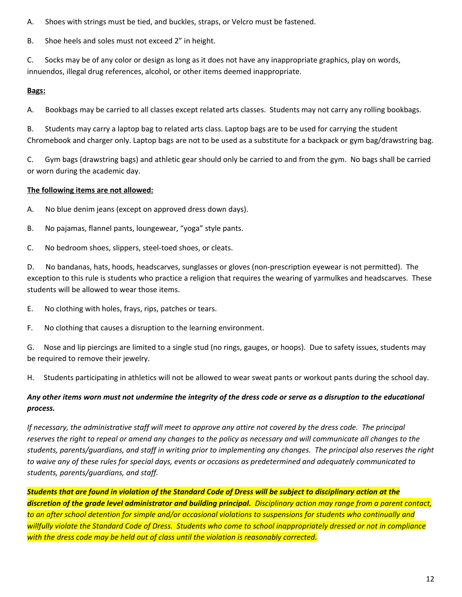A. Shoes with strings must be tied, and buckles, straps, or Velcro must be fastened.

B. Shoe heels and soles must not exceed 2" in height.

C. Socks may be of any color or design as long as it does not have any inappropriate graphics, play on words, innuendos, illegal drug references, alcohol, or other items deemed inappropriate.

# **Bags:**

A. Bookbags may be carried to all classes except related arts classes. Students may not carry any rolling bookbags.

B. Students may carry a laptop bag to related arts class. Laptop bags are to be used for carrying the student Chromebook and charger only. Laptop bags are not to be used as a substitute for a backpack or gym bag/drawstring bag.

C. Gym bags (drawstring bags) and athletic gear should only be carried to and from the gym. No bags shall be carried or worn during the academic day.

# **The following items are not allowed:**

A. No blue denim jeans (except on approved dress down days).

- B. No pajamas, flannel pants, loungewear, "yoga" style pants.
- C. No bedroom shoes, slippers, steel-toed shoes, or cleats.

D. No bandanas, hats, hoods, headscarves, sunglasses or gloves (non-prescription eyewear is not permitted). The exception to this rule is students who practice a religion that requires the wearing of yarmulkes and headscarves. These students will be allowed to wear those items.

- E. No clothing with holes, frays, rips, patches or tears.
- F. No clothing that causes a disruption to the learning environment.

G. Nose and lip piercings are limited to a single stud (no rings, gauges, or hoops). Due to safety issues, students may be required to remove their jewelry.

H. Students participating in athletics will not be allowed to wear sweat pants or workout pants during the school day.

# Any other items worn must not undermine the integrity of the dress code or serve as a disruption to the educational *process.*

If necessary, the administrative staff will meet to approve any attire not covered by the dress code. The principal reserves the right to repeal or amend any changes to the policy as necessary and will communicate all changes to the students, parents/guardians, and staff in writing prior to implementing any changes. The principal also reserves the right to waive any of these rules for special days, events or occasions as predetermined and adequately communicated to *students, parents/guardians, and staff.*

Students that are found in violation of the Standard Code of Dress will be subject to disciplinary action at the discretion of the grade level administrator and building principal. Disciplinary action may range from a parent contact, to an after school detention for simple and/or occasional violations to suspensions for students who continually and willfully violate the Standard Code of Dress. Students who come to school inappropriately dressed or not in compliance *with the dress code may be held out of class until the violation is reasonably corrected.*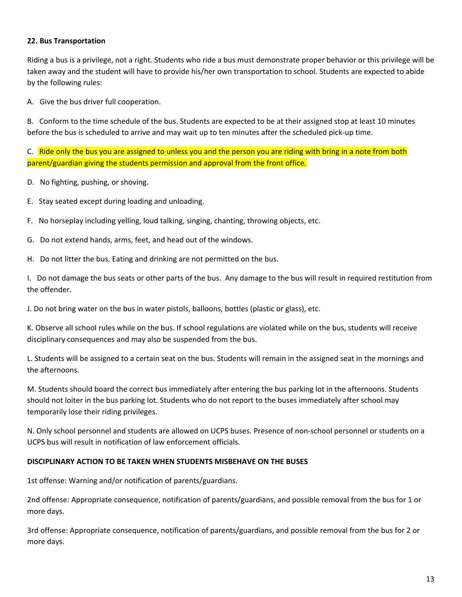#### **22. Bus Transportation**

Riding a bus is a privilege, not a right. Students who ride a bus must demonstrate proper behavior or this privilege will be taken away and the student will have to provide his/her own transportation to school. Students are expected to abide by the following rules:

A. Give the bus driver full cooperation.

B. Conform to the time schedule of the bus. Students are expected to be at their assigned stop at least 10 minutes before the bus is scheduled to arrive and may wait up to ten minutes after the scheduled pick-up time.

C. Ride only the bus you are assigned to unless you and the person you are riding with bring in a note from both parent/guardian giving the students permission and approval from the front office.

- D. No fighting, pushing, or shoving.
- E. Stay seated except during loading and unloading.
- F. No horseplay including yelling, loud talking, singing, chanting, throwing objects, etc.
- G. Do not extend hands, arms, feet, and head out of the windows.
- H. Do not litter the bus. Eating and drinking are not permitted on the bus.

I. Do not damage the bus seats or other parts of the bus. Any damage to the bus will result in required restitution from the offender.

J. Do not bring water on the bus in water pistols, balloons, bottles (plastic or glass), etc.

K. Observe all school rules while on the bus. If school regulations are violated while on the bus, students will receive disciplinary consequences and may also be suspended from the bus.

L. Students will be assigned to a certain seat on the bus. Students will remain in the assigned seat in the mornings and the afternoons.

M. Students should board the correct bus immediately after entering the bus parking lot in the afternoons. Students should not loiter in the bus parking lot. Students who do not report to the buses immediately after school may temporarily lose their riding privileges.

N. Only school personnel and students are allowed on UCPS buses. Presence of non-school personnel or students on a UCPS bus will result in notification of law enforcement officials.

#### **DISCIPLINARY ACTION TO BE TAKEN WHEN STUDENTS MISBEHAVE ON THE BUSES**

1st offense: Warning and/or notification of parents/guardians.

2nd offense: Appropriate consequence, notification of parents/guardians, and possible removal from the bus for 1 or more days.

3rd offense: Appropriate consequence, notification of parents/guardians, and possible removal from the bus for 2 or more days.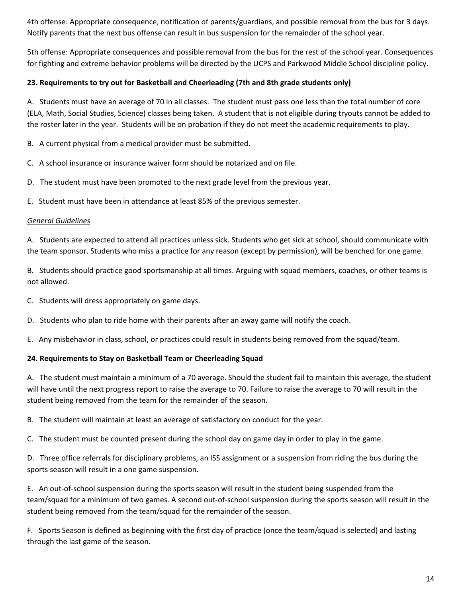4th offense: Appropriate consequence, notification of parents/guardians, and possible removal from the bus for 3 days. Notify parents that the next bus offense can result in bus suspension for the remainder of the school year.

5th offense: Appropriate consequences and possible removal from the bus for the rest of the school year. Consequences for fighting and extreme behavior problems will be directed by the UCPS and Parkwood Middle School discipline policy.

#### **23. Requirements to try out for Basketball and Cheerleading (7th and 8th grade students only)**

A. Students must have an average of 70 in all classes. The student must pass one less than the total number of core (ELA, Math, Social Studies, Science) classes being taken. A student that is not eligible during tryouts cannot be added to the roster later in the year. Students will be on probation if they do not meet the academic requirements to play.

B. A current physical from a medical provider must be submitted.

- C. A school insurance or insurance waiver form should be notarized and on file.
- D. The student must have been promoted to the next grade level from the previous year.

E. Student must have been in attendance at least 85% of the previous semester.

#### *General Guidelines*

A. Students are expected to attend all practices unless sick. Students who get sick at school, should communicate with the team sponsor. Students who miss a practice for any reason (except by permission), will be benched for one game.

B. Students should practice good sportsmanship at all times. Arguing with squad members, coaches, or other teams is not allowed.

- C. Students will dress appropriately on game days.
- D. Students who plan to ride home with their parents after an away game will notify the coach.

E. Any misbehavior in class, school, or practices could result in students being removed from the squad/team.

# **24. Requirements to Stay on Basketball Team or Cheerleading Squad**

A. The student must maintain a minimum of a 70 average. Should the student fail to maintain this average, the student will have until the next progress report to raise the average to 70. Failure to raise the average to 70 will result in the student being removed from the team for the remainder of the season.

B. The student will maintain at least an average of satisfactory on conduct for the year.

C. The student must be counted present during the school day on game day in order to play in the game.

D. Three office referrals for disciplinary problems, an ISS assignment or a suspension from riding the bus during the sports season will result in a one game suspension.

E. An out-of-school suspension during the sports season will result in the student being suspended from the team/squad for a minimum of two games. A second out-of-school suspension during the sports season will result in the student being removed from the team/squad for the remainder of the season.

F. Sports Season is defined as beginning with the first day of practice (once the team/squad is selected) and lasting through the last game of the season.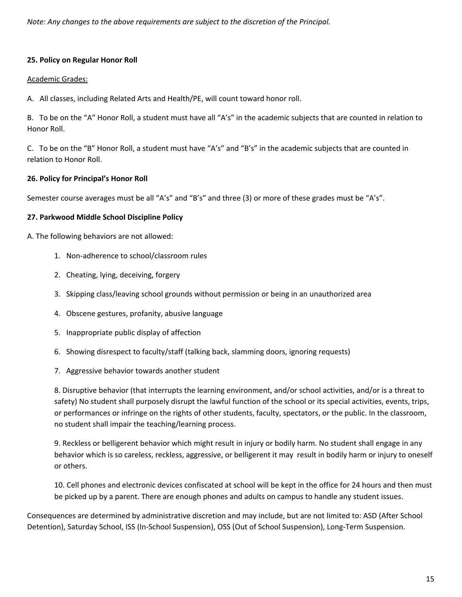*Note: Any changes to the above requirements are subject to the discretion of the Principal.*

#### **25. Policy on Regular Honor Roll**

#### Academic Grades:

A. All classes, including Related Arts and Health/PE, will count toward honor roll.

B. To be on the "A" Honor Roll, a student must have all "A's" in the academic subjects that are counted in relation to Honor Roll.

C. To be on the "B" Honor Roll, a student must have "A's" and "B's" in the academic subjects that are counted in relation to Honor Roll.

#### **26. Policy for Principal's Honor Roll**

Semester course averages must be all "A's" and "B's" and three (3) or more of these grades must be "A's".

#### **27. Parkwood Middle School Discipline Policy**

A. The following behaviors are not allowed:

- 1. Non-adherence to school/classroom rules
- 2. Cheating, lying, deceiving, forgery
- 3. Skipping class/leaving school grounds without permission or being in an unauthorized area
- 4. Obscene gestures, profanity, abusive language
- 5. Inappropriate public display of affection
- 6. Showing disrespect to faculty/staff (talking back, slamming doors, ignoring requests)
- 7. Aggressive behavior towards another student

8. Disruptive behavior (that interrupts the learning environment, and/or school activities, and/or is a threat to safety) No student shall purposely disrupt the lawful function of the school or its special activities, events, trips, or performances or infringe on the rights of other students, faculty, spectators, or the public. In the classroom, no student shall impair the teaching/learning process.

9. Reckless or belligerent behavior which might result in injury or bodily harm. No student shall engage in any behavior which is so careless, reckless, aggressive, or belligerent it may result in bodily harm or injury to oneself or others.

10. Cell phones and electronic devices confiscated at school will be kept in the office for 24 hours and then must be picked up by a parent. There are enough phones and adults on campus to handle any student issues.

Consequences are determined by administrative discretion and may include, but are not limited to: ASD (After School Detention), Saturday School, ISS (In-School Suspension), OSS (Out of School Suspension), Long-Term Suspension.